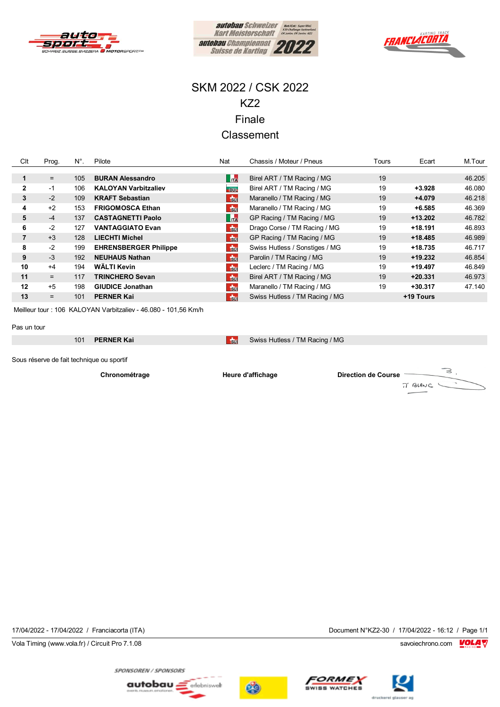





### SKM 2022 / CSK 2022 KZ2 Finale **Classement**

| Clt          | Prog. | $N^{\circ}$ . | Pilote                       | Nat            | Chassis / Moteur / Pneus       | Tours<br>Ecart |           | M.Tour |
|--------------|-------|---------------|------------------------------|----------------|--------------------------------|----------------|-----------|--------|
|              |       |               |                              |                |                                |                |           |        |
|              | $=$   | 105           | <b>BURAN Alessandro</b>      | <b>TA</b>      | Birel ART / TM Racing / MG     | 19             |           | 46.205 |
| $\mathbf{2}$ | $-1$  | 106           | <b>KALOYAN Varbitzaliev</b>  | -BUL           | Birel ART / TM Racing / MG     | 19             | +3.928    | 46.080 |
| 3            | $-2$  | 109           | <b>KRAFT Sebastian</b>       | <b>Su</b>      | Maranello / TM Racing / MG     | 19             | +4.079    | 46.218 |
| 4            | $+2$  | 153           | <b>FRIGOMOSCA Ethan</b>      | $\frac{1}{30}$ | Maranello / TM Racing / MG     | 19             | $+6.585$  | 46.369 |
| 5            | $-4$  | 137           | <b>CASTAGNETTI Paolo</b>     | $\mathbf{r}$   | GP Racing / TM Racing / MG     | 19             | $+13.202$ | 46.782 |
| 6            | $-2$  | 127           | <b>VANTAGGIATO Evan</b>      | $\frac{1}{20}$ | Drago Corse / TM Racing / MG   | 19             | $+18.191$ | 46.893 |
| 7            | $+3$  | 128           | <b>LIECHTI Michel</b>        | $\frac{1}{30}$ | GP Racing / TM Racing / MG     | 19             | $+18.485$ | 46.989 |
| 8            | $-2$  | 199           | <b>EHRENSBERGER Philippe</b> | $\frac{1}{30}$ | Swiss Hutless / Sonstiges / MG | 19             | +18.735   | 46.717 |
| 9            | $-3$  | 192           | <b>NEUHAUS Nathan</b>        | $\frac{1}{30}$ | Parolin / TM Racing / MG       | 19             | $+19.232$ | 46.854 |
| 10           | $+4$  | 194           | WÄLTI Kevin                  | $\frac{1}{30}$ | Leclerc / TM Racing / MG       | 19             | $+19.497$ | 46.849 |
| 11           | $=$   | 117           | <b>TRINCHERO Sevan</b>       | $\frac{1}{30}$ | Birel ART / TM Racing / MG     | 19             | $+20.331$ | 46.973 |
| 12           | $+5$  | 198           | <b>GIUDICE Jonathan</b>      | $\frac{1}{30}$ | Maranello / TM Racing / MG     | 19             | $+30.317$ | 47.140 |
| 13           | $=$   | 101           | <b>PERNER Kai</b>            | $\frac{1}{20}$ | Swiss Hutless / TM Racing / MG |                | +19 Tours |        |

Meilleur tour : 106 KALOYAN Varbitzaliev - 46.080 - 101,56 Km/h

#### Pas un tour

101 **PERNER Kai** Sui Swiss Hutless / TM Racing / MG

Sous réserve de fait technique ou sportif

**Chronométrage Heure d'affichage Direction de Course**7' BLANC

Vola Timing (www.vola.fr) / Circuit Pro 7.1.08 savoiechrono.com **VOLA V** 

17/04/2022 - 17/04/2022 / Franciacorta (ITA) Document N°KZ2-30 / 17/04/2022 - 16:12 / Page 1/1

 $\geq$ 







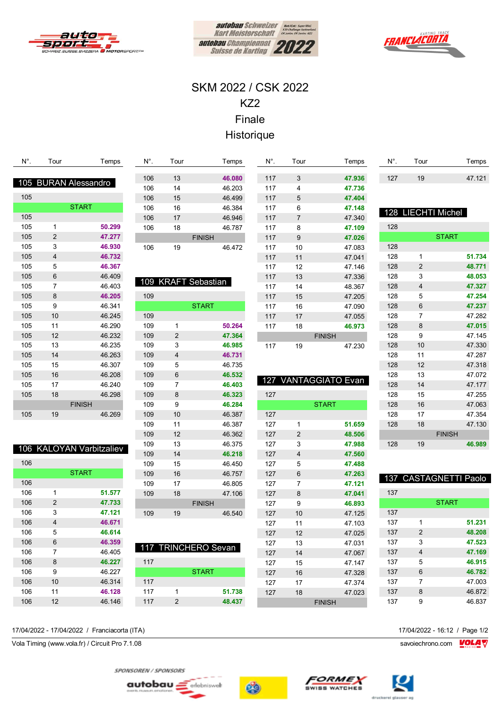





## SKM 2022 / CSK 2022 KZ2 Finale Historique

| N°. | Tour           | Temps                       | N°. | Tour           |                     | Temps  | N°. | Tour                    | Temps                   | $N^{\circ}$ . | Tour                    | Temps                 |
|-----|----------------|-----------------------------|-----|----------------|---------------------|--------|-----|-------------------------|-------------------------|---------------|-------------------------|-----------------------|
|     |                |                             | 106 | 13             |                     | 46.080 | 117 | 3                       | 47.936                  | 127           | 19                      | 47.121                |
|     |                | 105 BURAN Alessandro        | 106 | 14             |                     | 46.203 | 117 | 4                       | 47.736                  |               |                         |                       |
| 105 |                |                             | 106 | 15             |                     | 46.499 | 117 | 5                       | 47.404                  |               |                         |                       |
|     |                | <b>START</b>                | 106 | 16             |                     | 46.384 | 117 | 6                       | 47.148                  |               |                         |                       |
| 105 |                |                             | 106 | 17             |                     | 46.946 | 117 | 7                       | 47.340                  | 128           |                         | <b>LIECHTI Michel</b> |
| 105 | 1              | 50.299                      | 106 | 18             |                     | 46.787 | 117 | 8                       | 47.109                  | 128           |                         |                       |
| 105 | 2              | 47.277                      |     |                | <b>FINISH</b>       |        | 117 | 9                       | 47.026                  |               |                         | <b>START</b>          |
| 105 | 3              | 46.930                      | 106 | 19             |                     | 46.472 | 117 | 10                      | 47.083                  | 128           |                         |                       |
| 105 | 4              | 46.732                      |     |                |                     |        | 117 | 11                      | 47.041                  | 128           | 1                       | 51.734                |
| 105 | 5              | 46.367                      |     |                |                     |        | 117 | 12                      | 47.146                  | 128           | 2                       | 48.771                |
| 105 | 6              | 46.409                      |     |                |                     |        | 117 | 13                      | 47.336                  | 128           | 3                       | 48.053                |
| 105 | $\overline{7}$ | 46.403                      |     |                | 109 KRAFT Sebastian |        | 117 | 14                      | 48.367                  | 128           | $\overline{\mathbf{4}}$ | 47.327                |
| 105 | 8              | 46.205                      | 109 |                |                     |        | 117 | 15                      | 47.205                  | 128           | 5                       | 47.254                |
| 105 | 9              | 46.341                      |     |                | <b>START</b>        |        | 117 | 16                      | 47.090                  | 128           | 6                       | 47.237                |
| 105 | 10             | 46.245                      | 109 |                |                     |        | 117 | 17                      | 47.055                  | 128           | $\overline{7}$          | 47.282                |
| 105 | 11             | 46.290                      | 109 | 1              |                     | 50.264 | 117 | 18                      | 46.973                  | 128           | 8                       | 47.015                |
| 105 | 12             | 46.232                      | 109 | $\overline{2}$ |                     | 47.364 |     |                         | <b>FINISH</b>           | 128           | 9                       | 47.145                |
| 105 | 13             | 46.235                      | 109 | 3              |                     | 46.985 | 117 | 19                      | 47.230                  | 128           | 10                      | 47.330                |
| 105 | 14             | 46.263                      | 109 | 4              |                     | 46.731 |     |                         |                         | 128           | 11                      | 47.287                |
| 105 | 15             | 46.307                      | 109 | 5              |                     | 46.735 |     |                         |                         | 128           | 12                      | 47.318                |
| 105 | 16             | 46.208                      | 109 | 6              |                     | 46.532 |     |                         |                         | 128           | 13                      | 47.072                |
| 105 | 17             | 46.240                      | 109 | $\overline{7}$ |                     | 46.403 | 127 |                         | <b>VANTAGGIATO Evan</b> | 128           | 14                      | 47.177                |
| 105 | 18             | 46.298                      | 109 | 8              |                     | 46.323 | 127 |                         |                         | 128           | 15                      | 47.255                |
|     |                | <b>FINISH</b>               | 109 | 9              |                     | 46.284 |     |                         | <b>START</b>            | 128           | 16                      | 47.063                |
| 105 | 19             | 46.269                      | 109 | 10             |                     | 46.387 | 127 |                         |                         | 128           | 17                      | 47.354                |
|     |                |                             | 109 | 11             |                     | 46.387 | 127 | 1                       | 51.659                  | 128           | 18                      | 47.130                |
|     |                |                             | 109 | 12             |                     | 46.362 | 127 | $\overline{\mathbf{c}}$ | 48.506                  |               |                         | <b>FINISH</b>         |
|     |                | <b>KALOYAN Varbitzaliev</b> | 109 | 13             |                     | 46.375 | 127 | 3                       | 47.988                  | 128           | 19                      | 46.989                |
| 106 |                |                             | 109 | 14             |                     | 46.218 | 127 | 4                       | 47.560                  |               |                         |                       |
| 106 |                |                             | 109 | 15             |                     | 46.450 | 127 | 5                       | 47.488                  |               |                         |                       |
|     |                | <b>START</b>                | 109 | 16             |                     | 46.757 | 127 | 6                       | 47.263                  |               |                         | 137 CASTAGNETTI Paolo |
| 106 |                |                             | 109 | 17             |                     | 46.805 | 127 | 7                       | 47.121                  |               |                         |                       |
| 106 | 1              | 51.577                      | 109 | 18             |                     | 47.106 | 127 | 8                       | 47.041                  | 137           |                         |                       |
| 106 | $\overline{c}$ | 47.733                      |     |                | <b>FINISH</b>       |        | 127 | 9                       | 46.893                  |               |                         | <b>START</b>          |
| 106 | 3              | 47.121                      | 109 | 19             |                     | 46.540 | 127 | 10                      | 47.125                  | 137           |                         |                       |
| 106 | 4              | 46.671                      |     |                |                     |        | 127 | 11                      | 47.103                  | 137           | 1                       | 51.231                |
| 106 | 5              | 46.614                      |     |                |                     |        | 127 | 12                      | 47.025                  | 137           | $\overline{2}$          | 48.208                |
| 106 | 6              | 46.359                      |     |                | 117 TRINCHERO Sevan |        | 127 | 13                      | 47.031                  | 137           | 3                       | 47.523                |
| 106 | $\overline{7}$ | 46.405                      |     |                |                     |        | 127 | $14$                    | 47.067                  | 137           | $\overline{4}$          | 47.169                |
| 106 | 8              | 46.227                      | 117 |                |                     |        | 127 | 15                      | 47.147                  | 137           | 5                       | 46.915                |
| 106 | 9              | 46.227                      |     |                | <b>START</b>        |        | 127 | $16\,$                  | 47.328                  | 137           | 6                       | 46.782                |
| 106 | $10$           | 46.314                      | 117 |                |                     |        | 127 | 17                      | 47.374                  | 137           | $\overline{7}$          | 47.003                |
| 106 | 11             | 46.128                      | 117 | $\mathbf{1}$   |                     | 51.738 | 127 | $18\,$                  | 47.023                  | 137           | 8                       | 46.872                |

9 46.837

17/04/2022 - 17/04/2022 / Franciacorta (ITA) 17/04/2022 - 16:12 / Page 1/2

12 46.146

Vola Timing (www.vola.fr) / Circuit Pro 7.1.08 savoiechrono.com **VOLA V** 

SPONSOREN / SPONSORS

autobau <u>=</u> erlebniswelt





FINISH



2 **48.437**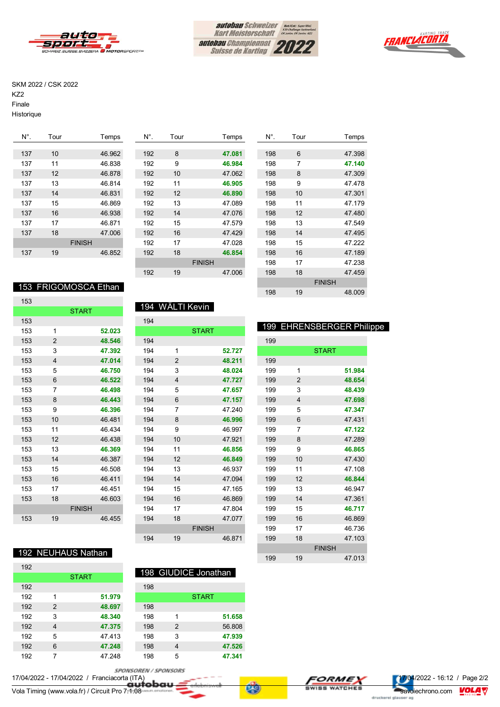





#### SKM 2022 / CSK 2022

KZ2

Finale

Historique

| N°. | Tour | Temps         | N°. | Tour | Temps         | $N^{\circ}$ . | Tour            | Temps  |
|-----|------|---------------|-----|------|---------------|---------------|-----------------|--------|
|     |      |               |     |      |               |               |                 |        |
| 137 | 10   | 46.962        | 192 | 8    | 47.081        | 198           | 6               | 47.398 |
| 137 | 11   | 46.838        | 192 | 9    | 46.984        | 198           | 7               | 47.140 |
| 137 | 12   | 46.878        | 192 | 10   | 47.062        | 198           | 8               | 47.309 |
| 137 | 13   | 46.814        | 192 | 11   | 46.905        | 198           | 9               | 47.478 |
| 137 | 14   | 46.831        | 192 | 12   | 46,890        | 198           | 10 <sup>1</sup> | 47.301 |
| 137 | 15   | 46.869        | 192 | 13   | 47.089        | 198           | 11              | 47.179 |
| 137 | 16   | 46.938        | 192 | 14   | 47.076        | 198           | 12              | 47.480 |
| 137 | 17   | 46.871        | 192 | 15   | 47.579        | 198           | 13              | 47.549 |
| 137 | 18   | 47.006        | 192 | 16   | 47.429        | 198           | 14              | 47.495 |
|     |      | <b>FINISH</b> | 192 | 17   | 47.028        | 198           | 15              | 47.222 |
| 137 | 19   | 46.852        | 192 | 18   | 46.854        | 198           | 16              | 47.189 |
|     |      |               |     |      | <b>FINISH</b> | 198           | 17              | 47.238 |
|     |      |               | 192 | 19   | 47.006        | 198           | 18              | 47.459 |

### 153 FRIGOMOSCA Ethan

| 153 |                |               |        |
|-----|----------------|---------------|--------|
|     |                | <b>START</b>  |        |
| 153 |                |               |        |
| 153 | 1              |               | 52.023 |
| 153 | $\overline{2}$ |               | 48.546 |
| 153 | 3              |               | 47.392 |
| 153 | 4              |               | 47.014 |
| 153 | 5              |               | 46.750 |
| 153 | 6              |               | 46.522 |
| 153 | 7              |               | 46.498 |
| 153 | 8              |               | 46.443 |
| 153 | 9              |               | 46.396 |
| 153 | 10             |               | 46.481 |
| 153 | 11             |               | 46.434 |
| 153 | 12             |               | 46.438 |
| 153 | 13             |               | 46.369 |
| 153 | 14             |               | 46.387 |
| 153 | 15             |               | 46.508 |
| 153 | 16             |               | 46.411 |
| 153 | 17             |               | 46.451 |
| 153 | 18             |               | 46.603 |
|     |                | <b>FINISH</b> |        |
| 153 | 19             |               | 46.455 |

#### 194 WÄLTI Kevin

| 194 |                         |               |        |
|-----|-------------------------|---------------|--------|
|     |                         | <b>START</b>  |        |
| 194 |                         |               |        |
| 194 | 1                       |               | 52.727 |
| 194 | $\overline{2}$          |               | 48.211 |
| 194 | 3                       |               | 48.024 |
| 194 | $\overline{\mathbf{4}}$ |               | 47.727 |
| 194 | 5                       |               | 47.657 |
| 194 | 6                       |               | 47.157 |
| 194 | 7                       |               | 47.240 |
| 194 | 8                       |               | 46.996 |
| 194 | 9                       |               | 46.997 |
| 194 | 10                      |               | 47.921 |
| 194 | 11                      |               | 46.856 |
| 194 | 12                      |               | 46.849 |
| 194 | 13                      |               | 46.937 |
| 194 | 14                      |               | 47.094 |
| 194 | 15                      |               | 47.165 |
| 194 | 16                      |               | 46.869 |
| 194 | 17                      |               | 47.804 |
| 194 | 18                      |               | 47.077 |
|     |                         | <b>FINISH</b> |        |
| 194 | 19                      |               | 46.871 |
|     |                         |               |        |

| 198 | 6  |               | 47.398 |  |
|-----|----|---------------|--------|--|
| 198 | 7  |               | 47.140 |  |
| 198 | 8  |               | 47.309 |  |
| 198 | 9  |               | 47.478 |  |
| 198 | 10 |               | 47.301 |  |
| 198 | 11 |               | 47 179 |  |
| 198 | 12 |               | 47.480 |  |
| 198 | 13 |               | 47.549 |  |
| 198 | 14 |               | 47.495 |  |
| 198 | 15 |               | 47 222 |  |
| 198 | 16 |               | 47.189 |  |
| 198 | 17 |               | 47.238 |  |
| 198 | 18 |               | 47.459 |  |
|     |    | <b>FINISH</b> |        |  |
| 198 | 19 |               | 48.009 |  |
|     |    |               |        |  |

#### 199 EHRENSBERGER Philippe

| 199 |                         |               |        |
|-----|-------------------------|---------------|--------|
|     |                         | <b>START</b>  |        |
| 199 |                         |               |        |
| 199 | 1                       |               | 51.984 |
| 199 | $\overline{2}$          |               | 48.654 |
| 199 | 3                       |               | 48.439 |
| 199 | $\overline{\mathbf{4}}$ |               | 47.698 |
| 199 | 5                       |               | 47.347 |
| 199 | 6                       |               | 47.431 |
| 199 | 7                       |               | 47.122 |
| 199 | 8                       |               | 47.289 |
| 199 | 9                       |               | 46.865 |
| 199 | 10                      |               | 47.430 |
| 199 | 11                      |               | 47.108 |
| 199 | 12                      |               | 46.844 |
| 199 | 13                      |               | 46.947 |
| 199 | 14                      |               | 47.361 |
| 199 | 15                      |               | 46.717 |
| 199 | 16                      |               | 46.869 |
| 199 | 17                      |               | 46.736 |
| 199 | 18                      |               | 47.103 |
|     |                         | <b>FINISH</b> |        |
| 199 | 19                      |               | 47.013 |

### 192 NEUHAUS Nathan

| 192 |                |              |        |     |   | 198 GIUDICE Jonathan |
|-----|----------------|--------------|--------|-----|---|----------------------|
|     |                | <b>START</b> |        |     |   |                      |
| 192 |                |              |        | 198 |   |                      |
| 192 | 1              |              | 51.979 |     |   | <b>START</b>         |
| 192 | 2              |              | 48.697 | 198 |   |                      |
| 192 | 3              |              | 48.340 | 198 | 1 | 51.658               |
| 192 | $\overline{4}$ |              | 47.375 | 198 | 2 | 56.808               |
| 192 | 5              |              | 47.413 | 198 | 3 | 47.939               |
| 192 | 6              |              | 47.248 | 198 | 4 | 47.526               |
| 192 |                |              | 47.248 | 198 | 5 | 47.341               |

SPONSOREN / SPONSORS

17/04/2022 - 17/04/2022 / Franciacorta (ITA) 17/04/2022 - 17/04/2022 / Franciacorta (ITA)